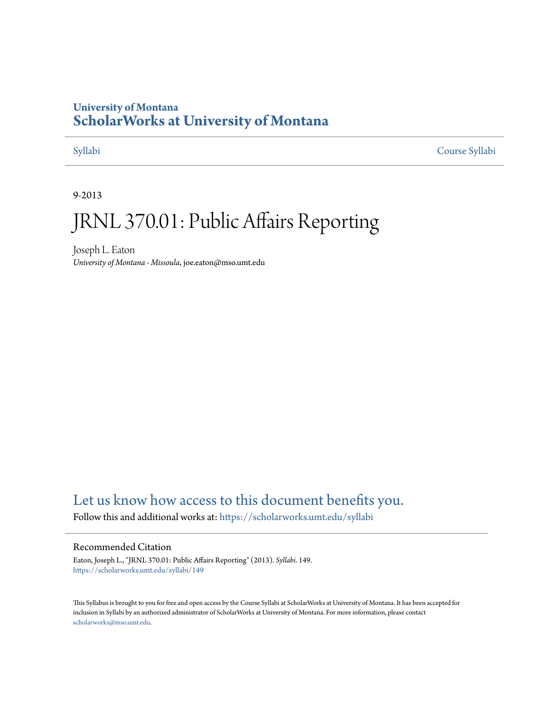### **University of Montana [ScholarWorks at University of Montana](https://scholarworks.umt.edu?utm_source=scholarworks.umt.edu%2Fsyllabi%2F149&utm_medium=PDF&utm_campaign=PDFCoverPages)**

[Syllabi](https://scholarworks.umt.edu/syllabi?utm_source=scholarworks.umt.edu%2Fsyllabi%2F149&utm_medium=PDF&utm_campaign=PDFCoverPages) [Course Syllabi](https://scholarworks.umt.edu/course_syllabi?utm_source=scholarworks.umt.edu%2Fsyllabi%2F149&utm_medium=PDF&utm_campaign=PDFCoverPages)

9-2013

# JRNL 370.01: Public Affairs Reporting

Joseph L. Eaton *University of Montana - Missoula*, joe.eaton@mso.umt.edu

# [Let us know how access to this document benefits you.](https://goo.gl/forms/s2rGfXOLzz71qgsB2)

Follow this and additional works at: [https://scholarworks.umt.edu/syllabi](https://scholarworks.umt.edu/syllabi?utm_source=scholarworks.umt.edu%2Fsyllabi%2F149&utm_medium=PDF&utm_campaign=PDFCoverPages)

#### Recommended Citation

Eaton, Joseph L., "JRNL 370.01: Public Affairs Reporting" (2013). *Syllabi*. 149. [https://scholarworks.umt.edu/syllabi/149](https://scholarworks.umt.edu/syllabi/149?utm_source=scholarworks.umt.edu%2Fsyllabi%2F149&utm_medium=PDF&utm_campaign=PDFCoverPages)

This Syllabus is brought to you for free and open access by the Course Syllabi at ScholarWorks at University of Montana. It has been accepted for inclusion in Syllabi by an authorized administrator of ScholarWorks at University of Montana. For more information, please contact [scholarworks@mso.umt.edu](mailto:scholarworks@mso.umt.edu).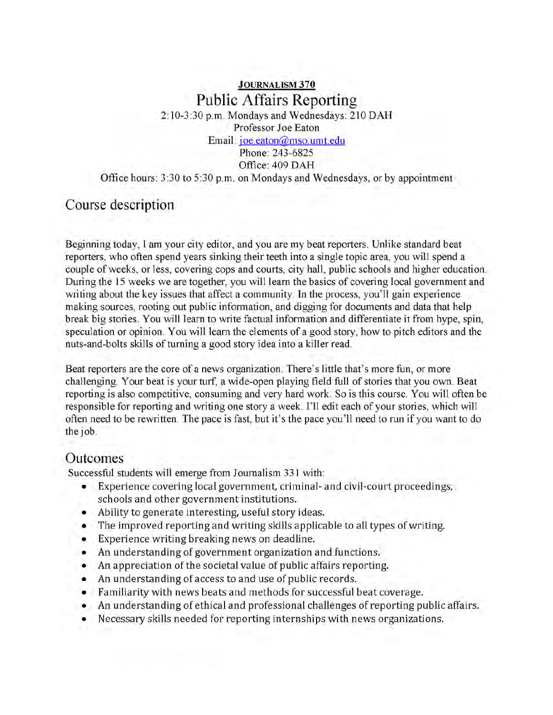# **J o u r n a l is m 370** Public Affairs Reporting

2:10-3:30 p.m. Mondays and Wednesdays: 210 DAH Professor Joe Eaton Email: ioe.eaton@mso.umt.edu

Phone: 243-6825 Office: 409 DAH

Office hours: 3:30 to 5:30 p.m. on Mondays and Wednesdays, or by appointment

#### Course description

Beginning today, I am your city editor, and you are my beat reporters. Unlike standard beat reporters, who often spend years sinking their teeth into a single topic area, you will spend a couple of weeks, or less, covering cops and courts, city hall, public schools and higher education. During the 15 weeks we are together, you will learn the basics of covering local government and writing about the key issues that affect a community. In the process, you'll gain experience making sources, rooting out public information, and digging for documents and data that help break big stories. You will learn to write factual information and differentiate it from hype, spin, speculation or opinion. You will learn the elements of a good story, how to pitch editors and the nuts-and-bolts skills of turning a good story idea into a killer read.

Beat reporters are the core of a news organization. There's little that's more fun, or more challenging. Your beat is your turf, a wide-open playing field full of stories that you own. Beat reporting is also competitive, consuming and very hard work. So is this course. You will often be responsible for reporting and writing one story a week. Ell edit each of your stories, which will often need to be rewritten. The pace is fast, but it's the pace you'll need to run if you want to do the job.

#### Outcomes

Successful students will emerge from Journalism 331 with:

- Experience covering local government, criminal- and civil-court proceedings, schools and other government institutions.
- Ability to generate interesting, useful story ideas.
- The improved reporting and writing skills applicable to all types of writing.
- Experience writing breaking news on deadline.
- An understanding of government organization and functions.
- An appreciation of the societal value of public affairs reporting.
- An understanding of access to and use of public records.
- Familiarity with news beats and methods for successful beat coverage.
- An understanding of ethical and professional challenges of reporting public affairs.
- Necessary skills needed for reporting internships with news organizations.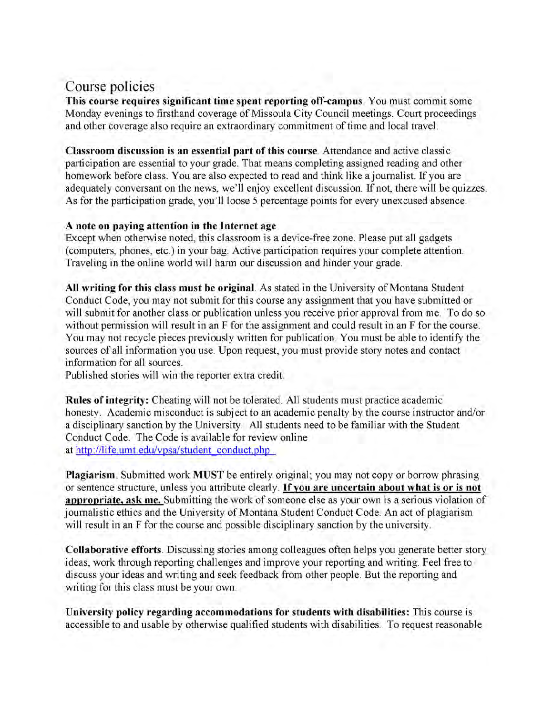# Course policies

**This course requires significant time spent reporting off-campus.** You must commit some Monday evenings to firsthand coverage of Missoula City Council meetings. Court proceedings and other coverage also require an extraordinary commitment of time and local travel.

**Classroom discussion is an essential part of this course.** Attendance and active classic participation are essential to your grade. That means completing assigned reading and other homework before class. You are also expected to read and think like a journalist. If you are adequately conversant on the news, we'll enjoy excellent discussion. If not, there will be quizzes. As for the participation grade, you'll loose 5 percentage points for every unexcused absence.

#### **A note on paying attention in the Internet age**

Except when otherwise noted, this classroom is a device-free zone. Please put all gadgets (computers, phones, etc.) in your bag. Active participation requires your complete attention. Traveling in the online world will harm our discussion and hinder your grade.

**All writing for this class must be original.** As stated in the University of Montana Student Conduct Code, you may not submit for this course any assignment that you have submitted or will submit for another class or publication unless you receive prior approval from me. To do so without permission will result in an F for the assignment and could result in an F for the course. You may not recycle pieces previously written for publication. You must be able to identify the sources of all information you use. Upon request, you must provide story notes and contact information for all sources.

Published stories will win the reporter extra credit.

**Rules of integrity:** Cheating will not be tolerated. All students must practice academic honesty. Academic misconduct is subject to an academic penalty by the course instructor and/or a disciplinary sanction by the University. All students need to be familiar with the Student Conduct Code. The Code is available for review online at http://life.umt.edu/vpsa/student conduct.php .

**Plagiarism.** Submitted work **MUST** be entirely original; you may not copy or borrow phrasing or sentence structure, unless you attribute clearly. **If you are uncertain about what is or is not appropriate, ask me.** Submitting the work of someone else as your own is a serious violation of journalistic ethics and the University of Montana Student Conduct Code. An act of plagiarism will result in an F for the course and possible disciplinary sanction by the university.

**Collaborative efforts.** Discussing stories among colleagues often helps you generate better story ideas, work through reporting challenges and improve your reporting and writing. Feel free to discuss your ideas and writing and seek feedback from other people. But the reporting and writing for this class must be your own.

**University policy regarding accommodations for students with disabilities:** This course is accessible to and usable by otherwise qualified students with disabilities. To request reasonable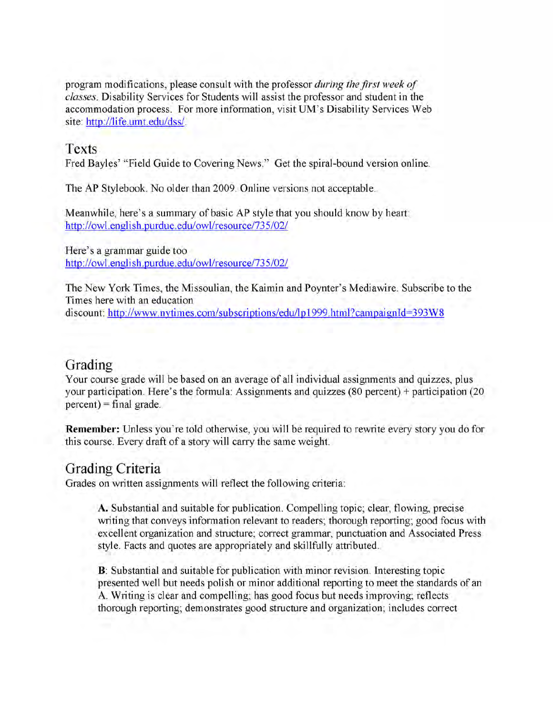program modifications, please consult with the professor *during the first week of classes.* Disability Services for Students will assist the professor and student in the accommodation process. For more information, visit UM 's Disability Services Web site: http://life.umt.edu/dss/.

#### Texts

Fred Bayles' "Field Guide to Covering News." Get the spiral-bound version online.

The AP Stylebook. No older than 2009. Online versions not acceptable.

Meanwhile, here's a summary of basic AP style that you should know by heart: http://owl.english.purdue.edu/owl/resource/735/02/

Here's a grammar guide too http://owl.english.purdue.edu/owl/resource/735/02/

The New York Times, the Missoulian, the Kaimin and Poynter's Mediawire. Subscribe to the Times here with an education discount: http://www.nytimes.com/subscriptions/edu/lp1999.html?campaignId=393W8

### Grading

Your course grade will be based on an average of all individual assignments and quizzes, plus your participation. Here's the formula: Assignments and quizzes (80 percent) + participation (20  $percent$ ) = final grade.

**Remember:** Unless you're told otherwise, you will be required to rewrite every story you do for this course. Every draft of a story will carry the same weight.

# Grading Criteria

Grades on written assignments will reflect the following criteria:

A. Substantial and suitable for publication. Compelling topic; clear, flowing, precise writing that conveys information relevant to readers; thorough reporting; good focus with excellent organization and structure; correct grammar, punctuation and Associated Press style. Facts and quotes are appropriately and skillfully attributed.

**B:** Substantial and suitable for publication with minor revision. Interesting topic presented well but needs polish or minor additional reporting to meet the standards of an A. Writing is clear and compelling; has good focus but needs improving; reflects thorough reporting; demonstrates good structure and organization; includes correct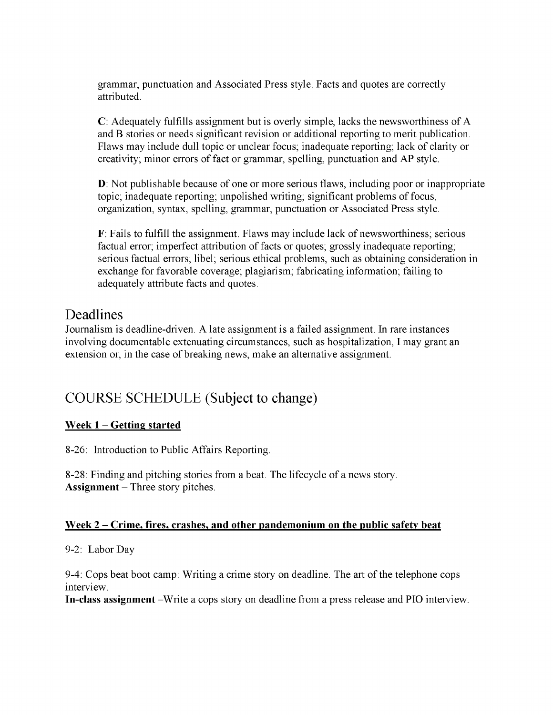grammar, punctuation and Associated Press style. Facts and quotes are correctly attributed.

**C:** Adequately fulfills assignment but is overly simple, lacks the newsworthiness of A and B stories or needs significant revision or additional reporting to merit publication. Flaws may include dull topic or unclear focus; inadequate reporting; lack of clarity or creativity; minor errors of fact or grammar, spelling, punctuation and AP style.

**D:** Not publishable because of one or more serious flaws, including poor or inappropriate topic; inadequate reporting; unpolished writing; significant problems of focus, organization, syntax, spelling, grammar, punctuation or Associated Press style.

**F:** Fails to fulfill the assignment. Flaws may include lack of newsworthiness; serious factual error; imperfect attribution of facts or quotes; grossly inadequate reporting; serious factual errors; libel; serious ethical problems, such as obtaining consideration in exchange for favorable coverage; plagiarism; fabricating information; failing to adequately attribute facts and quotes.

# Deadlines

Journalism is deadline-driven. A late assignment is a failed assignment. In rare instances involving documentable extenuating circumstances, such as hospitalization, I may grant an extension or, in the case of breaking news, make an alternative assignment.

# COURSE SCHEDULE (Subject to change)

#### **Week 1 - Getting started**

8-26: Introduction to Public Affairs Reporting.

8-28: Finding and pitching stories from a beat. The lifecycle of a news story. **Assignment** - Three story pitches.

#### **Week 2 - Crime, fires, crashes, and other pandemonium on the public safety beat**

#### 9-2: Labor Day

9-4: Cops beat boot camp: Writing a crime story on deadline. The art of the telephone cops interview.

In-class assignment –Write a cops story on deadline from a press release and PIO interview.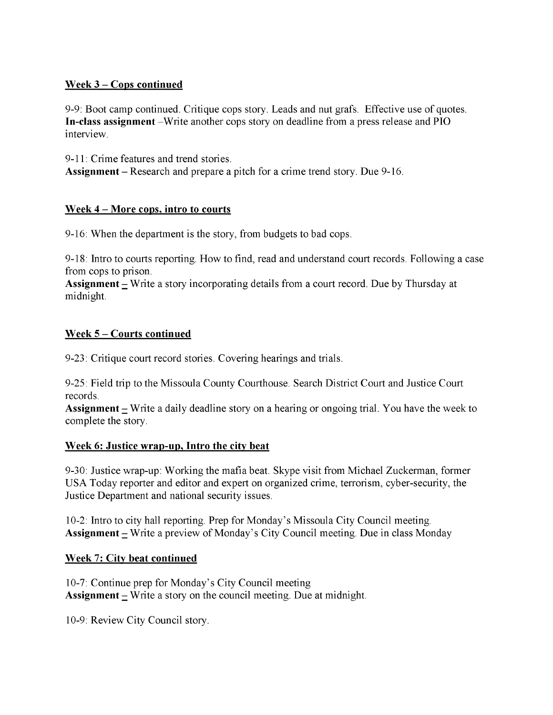#### **W eek 3 - Cops continued**

9-9: Boot camp continued. Critique cops story. Leads and nut grafs. Effective use of quotes. **In-class assignment** –Write another cops story on deadline from a press release and PIO interview.

9-11: Crime features and trend stories. **Assignment** - Research and prepare a pitch for a crime trend story. Due 9-16.

#### **Week 4 - More cops, intro to courts**

9-16: When the department is the story, from budgets to bad cops.

9-18: Intro to courts reporting. How to find, read and understand court records. Following a case from cops to prison.

**Assignment** – Write a story incorporating details from a court record. Due by Thursday at midnight.

#### **Week 5 - Courts continued**

9-23: Critique court record stories. Covering hearings and trials.

9-25: Field trip to the Missoula County Courthouse. Search District Court and Justice Court records.

**Assignment** - Write a daily deadline story on a hearing or ongoing trial. You have the week to complete the story.

#### **Week 6: Justice wrap-up. Intro the city beat**

9-30: Justice wrap-up: Working the mafia beat. Skype visit from Michael Zuckerman, former USA Today reporter and editor and expert on organized crime, terrorism, cyber-security, the Justice Department and national security issues.

10-2: Intro to city hall reporting. Prep for Monday's Missoula City Council meeting. **Assignment** – Write a preview of Monday's City Council meeting. Due in class Monday

#### **Week 7: City beat continued**

10-7: Continue prep for Monday's City Council meeting **Assignment**  $\equiv$  Write a story on the council meeting. Due at midnight.

10-9: Review City Council story.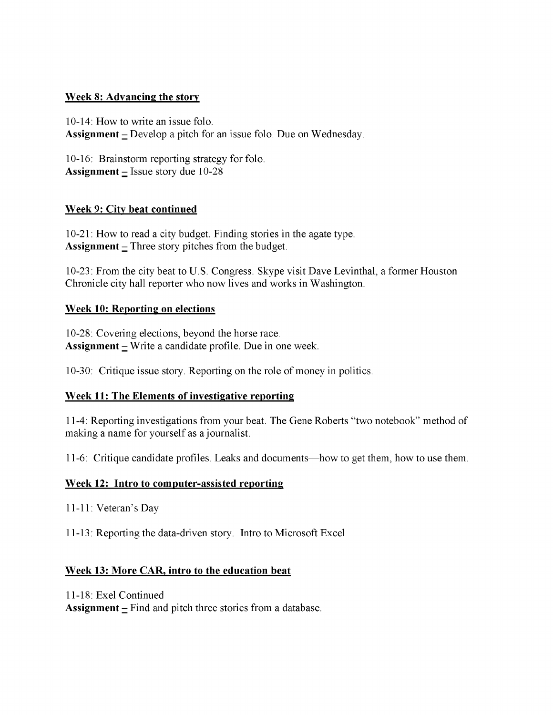#### **Week 8: Advancing the story**

10-14: How to write an issue folo. **Assignment** – Develop a pitch for an issue folo. Due on Wednesday.

10-16: Brainstorm reporting strategy for folo. **Assignment**  $=$  Issue story due 10-28

#### **Week 9: City beat continued**

10-21: How to read a city budget. Finding stories in the agate type. **Assignment**  $\text{-}$  Three story pitches from the budget.

10-23: From the city beat to U.S. Congress. Skype visit Dave Levinthal, a former Houston Chronicle city hall reporter who now lives and works in Washington.

#### **Week 10: Reporting on elections**

10-28: Covering elections, beyond the horse race. **Assignment**  $\equiv$  Write a candidate profile. Due in one week.

10-30: Critique issue story. Reporting on the role of money in politics.

#### **Week 11: The Elements of investigative reporting**

11-4: Reporting investigations from your beat. The Gene Roberts "two notebook" method of making a name for yourself as a journalist.

11-6: Critique candidate profiles. Leaks and documents—how to get them, how to use them.

#### **Week 12: Intro to computer-assisted reporting**

11-11: Veteran's Day

11-13: Reporting the data-driven story. Intro to Microsoft Excel

#### **Week 13: More CAR, intro to the education beat**

11-18: Exel Continued

**Assignment**  $\equiv$  Find and pitch three stories from a database.